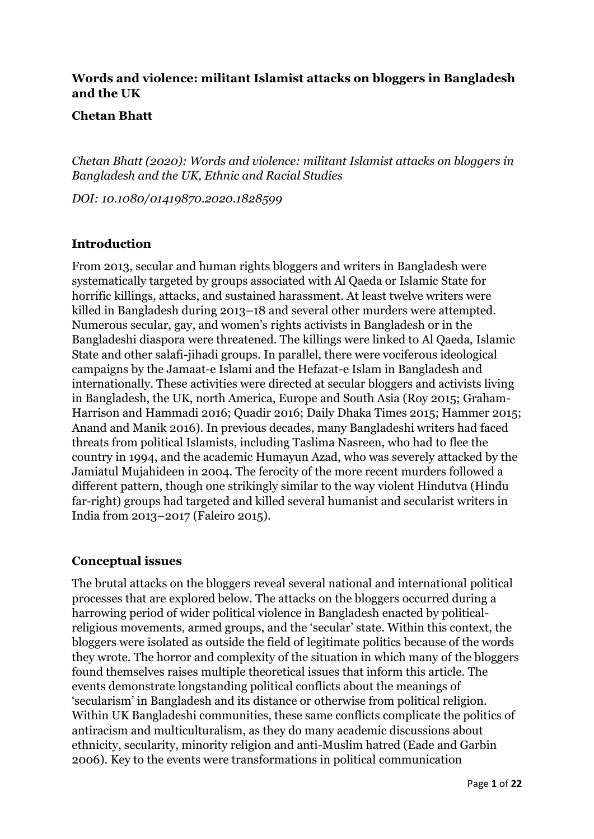## **Words and violence: militant Islamist attacks on bloggers in Bangladesh and the UK**

#### **Chetan Bhatt**

*Chetan Bhatt (2020): Words and violence: militant Islamist attacks on bloggers in Bangladesh and the UK, Ethnic and Racial Studies*

*DOI: 10.1080/01419870.2020.1828599*

#### **Introduction**

From 2013, secular and human rights bloggers and writers in Bangladesh were systematically targeted by groups associated with Al Qaeda or Islamic State for horrific killings, attacks, and sustained harassment. At least twelve writers were killed in Bangladesh during 2013–18 and several other murders were attempted. Numerous secular, gay, and women's rights activists in Bangladesh or in the Bangladeshi diaspora were threatened. The killings were linked to Al Qaeda, Islamic State and other salafi-jihadi groups. In parallel, there were vociferous ideological campaigns by the Jamaat-e Islami and the Hefazat-e Islam in Bangladesh and internationally. These activities were directed at secular bloggers and activists living in Bangladesh, the UK, north America, Europe and South Asia (Roy 2015; Graham-Harrison and Hammadi 2016; Quadir 2016; Daily Dhaka Times 2015; Hammer 2015; Anand and Manik 2016). In previous decades, many Bangladeshi writers had faced threats from political Islamists, including Taslima Nasreen, who had to flee the country in 1994, and the academic Humayun Azad, who was severely attacked by the Jamiatul Mujahideen in 2004. The ferocity of the more recent murders followed a different pattern, though one strikingly similar to the way violent Hindutva (Hindu far-right) groups had targeted and killed several humanist and secularist writers in India from 2013–2017 (Faleiro 2015).

#### **Conceptual issues**

The brutal attacks on the bloggers reveal several national and international political processes that are explored below. The attacks on the bloggers occurred during a harrowing period of wider political violence in Bangladesh enacted by politicalreligious movements, armed groups, and the 'secular' state. Within this context, the bloggers were isolated as outside the field of legitimate politics because of the words they wrote. The horror and complexity of the situation in which many of the bloggers found themselves raises multiple theoretical issues that inform this article. The events demonstrate longstanding political conflicts about the meanings of 'secularism' in Bangladesh and its distance or otherwise from political religion. Within UK Bangladeshi communities, these same conflicts complicate the politics of antiracism and multiculturalism, as they do many academic discussions about ethnicity, secularity, minority religion and anti-Muslim hatred (Eade and Garbin 2006). Key to the events were transformations in political communication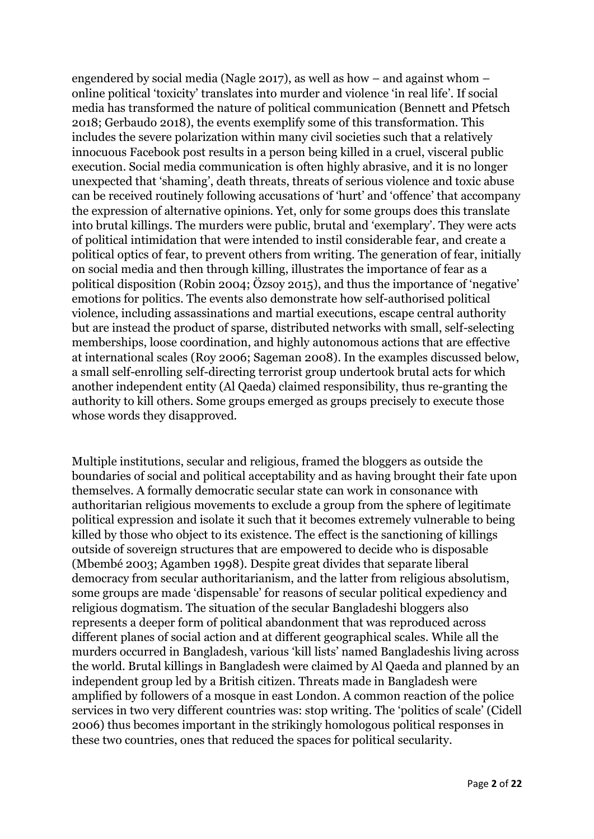engendered by social media (Nagle 2017), as well as how – and against whom – online political 'toxicity' translates into murder and violence 'in real life'. If social media has transformed the nature of political communication (Bennett and Pfetsch 2018; Gerbaudo 2018), the events exemplify some of this transformation. This includes the severe polarization within many civil societies such that a relatively innocuous Facebook post results in a person being killed in a cruel, visceral public execution. Social media communication is often highly abrasive, and it is no longer unexpected that 'shaming', death threats, threats of serious violence and toxic abuse can be received routinely following accusations of 'hurt' and 'offence' that accompany the expression of alternative opinions. Yet, only for some groups does this translate into brutal killings. The murders were public, brutal and 'exemplary'. They were acts of political intimidation that were intended to instil considerable fear, and create a political optics of fear, to prevent others from writing. The generation of fear, initially on social media and then through killing, illustrates the importance of fear as a political disposition (Robin 2004; Özsoy 2015), and thus the importance of 'negative' emotions for politics. The events also demonstrate how self-authorised political violence, including assassinations and martial executions, escape central authority but are instead the product of sparse, distributed networks with small, self-selecting memberships, loose coordination, and highly autonomous actions that are effective at international scales (Roy 2006; Sageman 2008). In the examples discussed below, a small self-enrolling self-directing terrorist group undertook brutal acts for which another independent entity (Al Qaeda) claimed responsibility, thus re-granting the authority to kill others. Some groups emerged as groups precisely to execute those whose words they disapproved.

Multiple institutions, secular and religious, framed the bloggers as outside the boundaries of social and political acceptability and as having brought their fate upon themselves. A formally democratic secular state can work in consonance with authoritarian religious movements to exclude a group from the sphere of legitimate political expression and isolate it such that it becomes extremely vulnerable to being killed by those who object to its existence. The effect is the sanctioning of killings outside of sovereign structures that are empowered to decide who is disposable (Mbembé 2003; Agamben 1998). Despite great divides that separate liberal democracy from secular authoritarianism, and the latter from religious absolutism, some groups are made 'dispensable' for reasons of secular political expediency and religious dogmatism. The situation of the secular Bangladeshi bloggers also represents a deeper form of political abandonment that was reproduced across different planes of social action and at different geographical scales. While all the murders occurred in Bangladesh, various 'kill lists' named Bangladeshis living across the world. Brutal killings in Bangladesh were claimed by Al Qaeda and planned by an independent group led by a British citizen. Threats made in Bangladesh were amplified by followers of a mosque in east London. A common reaction of the police services in two very different countries was: stop writing. The 'politics of scale' (Cidell 2006) thus becomes important in the strikingly homologous political responses in these two countries, ones that reduced the spaces for political secularity.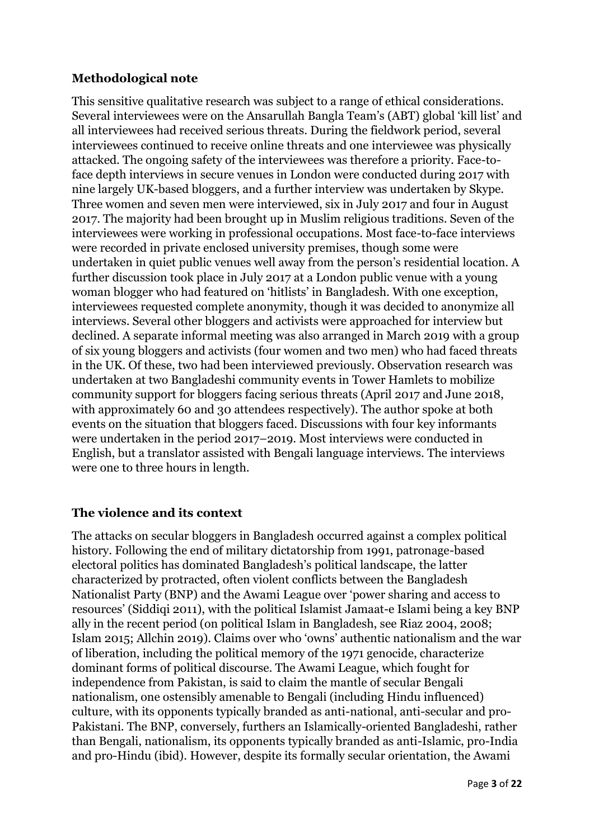# **Methodological note**

This sensitive qualitative research was subject to a range of ethical considerations. Several interviewees were on the Ansarullah Bangla Team's (ABT) global 'kill list' and all interviewees had received serious threats. During the fieldwork period, several interviewees continued to receive online threats and one interviewee was physically attacked. The ongoing safety of the interviewees was therefore a priority. Face-toface depth interviews in secure venues in London were conducted during 2017 with nine largely UK-based bloggers, and a further interview was undertaken by Skype. Three women and seven men were interviewed, six in July 2017 and four in August 2017. The majority had been brought up in Muslim religious traditions. Seven of the interviewees were working in professional occupations. Most face-to-face interviews were recorded in private enclosed university premises, though some were undertaken in quiet public venues well away from the person's residential location. A further discussion took place in July 2017 at a London public venue with a young woman blogger who had featured on 'hitlists' in Bangladesh. With one exception, interviewees requested complete anonymity, though it was decided to anonymize all interviews. Several other bloggers and activists were approached for interview but declined. A separate informal meeting was also arranged in March 2019 with a group of six young bloggers and activists (four women and two men) who had faced threats in the UK. Of these, two had been interviewed previously. Observation research was undertaken at two Bangladeshi community events in Tower Hamlets to mobilize community support for bloggers facing serious threats (April 2017 and June 2018, with approximately 60 and 30 attendees respectively). The author spoke at both events on the situation that bloggers faced. Discussions with four key informants were undertaken in the period 2017–2019. Most interviews were conducted in English, but a translator assisted with Bengali language interviews. The interviews were one to three hours in length.

# **The violence and its context**

The attacks on secular bloggers in Bangladesh occurred against a complex political history. Following the end of military dictatorship from 1991, patronage-based electoral politics has dominated Bangladesh's political landscape, the latter characterized by protracted, often violent conflicts between the Bangladesh Nationalist Party (BNP) and the Awami League over 'power sharing and access to resources' (Siddiqi 2011), with the political Islamist Jamaat-e Islami being a key BNP ally in the recent period (on political Islam in Bangladesh, see Riaz 2004, 2008; Islam 2015; Allchin 2019). Claims over who 'owns' authentic nationalism and the war of liberation, including the political memory of the 1971 genocide, characterize dominant forms of political discourse. The Awami League, which fought for independence from Pakistan, is said to claim the mantle of secular Bengali nationalism, one ostensibly amenable to Bengali (including Hindu influenced) culture, with its opponents typically branded as anti-national, anti-secular and pro-Pakistani. The BNP, conversely, furthers an Islamically-oriented Bangladeshi, rather than Bengali, nationalism, its opponents typically branded as anti-Islamic, pro-India and pro-Hindu (ibid). However, despite its formally secular orientation, the Awami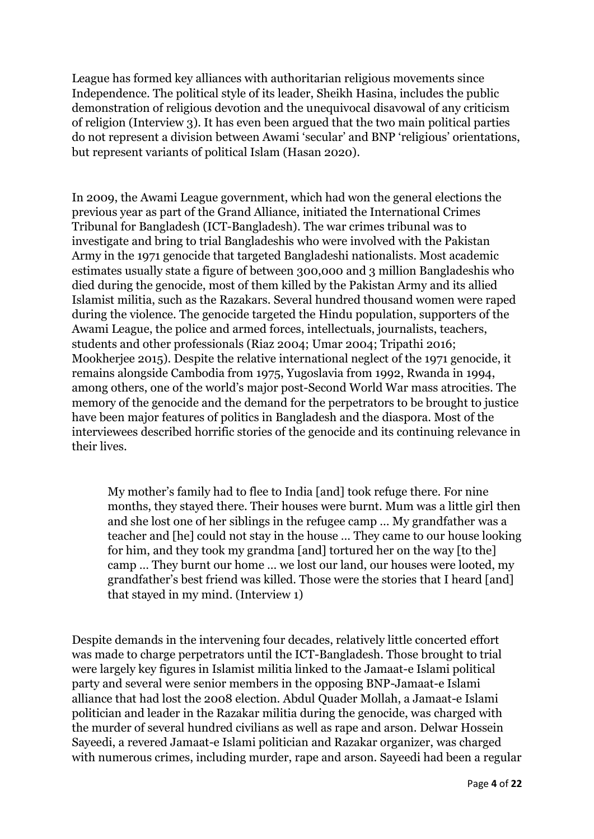League has formed key alliances with authoritarian religious movements since Independence. The political style of its leader, Sheikh Hasina, includes the public demonstration of religious devotion and the unequivocal disavowal of any criticism of religion (Interview 3). It has even been argued that the two main political parties do not represent a division between Awami 'secular' and BNP 'religious' orientations, but represent variants of political Islam (Hasan 2020).

In 2009, the Awami League government, which had won the general elections the previous year as part of the Grand Alliance, initiated the International Crimes Tribunal for Bangladesh (ICT-Bangladesh). The war crimes tribunal was to investigate and bring to trial Bangladeshis who were involved with the Pakistan Army in the 1971 genocide that targeted Bangladeshi nationalists. Most academic estimates usually state a figure of between 300,000 and 3 million Bangladeshis who died during the genocide, most of them killed by the Pakistan Army and its allied Islamist militia, such as the Razakars. Several hundred thousand women were raped during the violence. The genocide targeted the Hindu population, supporters of the Awami League, the police and armed forces, intellectuals, journalists, teachers, students and other professionals (Riaz 2004; Umar 2004; Tripathi 2016; Mookherjee 2015). Despite the relative international neglect of the 1971 genocide, it remains alongside Cambodia from 1975, Yugoslavia from 1992, Rwanda in 1994, among others, one of the world's major post-Second World War mass atrocities. The memory of the genocide and the demand for the perpetrators to be brought to justice have been major features of politics in Bangladesh and the diaspora. Most of the interviewees described horrific stories of the genocide and its continuing relevance in their lives.

My mother's family had to flee to India [and] took refuge there. For nine months, they stayed there. Their houses were burnt. Mum was a little girl then and she lost one of her siblings in the refugee camp … My grandfather was a teacher and [he] could not stay in the house … They came to our house looking for him, and they took my grandma [and] tortured her on the way [to the] camp … They burnt our home … we lost our land, our houses were looted, my grandfather's best friend was killed. Those were the stories that I heard [and] that stayed in my mind. (Interview 1)

Despite demands in the intervening four decades, relatively little concerted effort was made to charge perpetrators until the ICT-Bangladesh. Those brought to trial were largely key figures in Islamist militia linked to the Jamaat-e Islami political party and several were senior members in the opposing BNP-Jamaat-e Islami alliance that had lost the 2008 election. Abdul Quader Mollah, a Jamaat-e Islami politician and leader in the Razakar militia during the genocide, was charged with the murder of several hundred civilians as well as rape and arson. Delwar Hossein Sayeedi, a revered Jamaat-e Islami politician and Razakar organizer, was charged with numerous crimes, including murder, rape and arson. Sayeedi had been a regular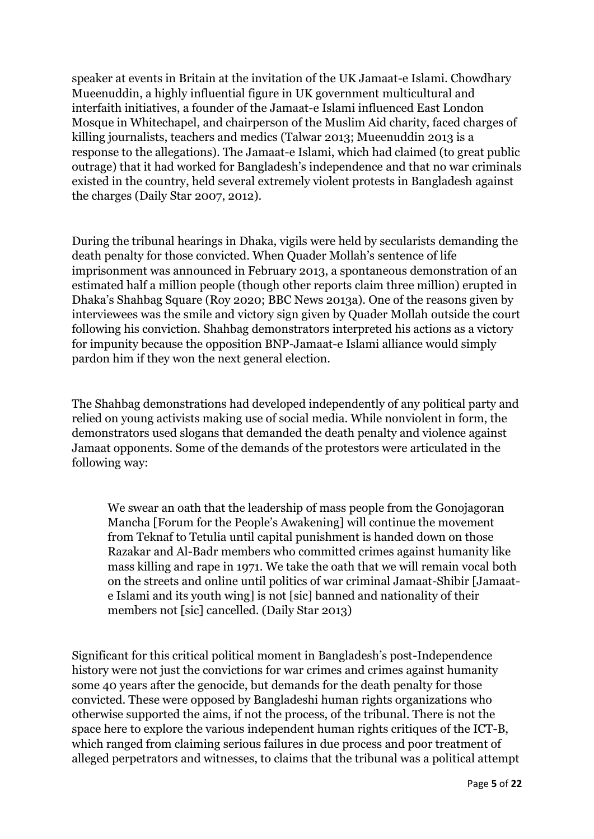speaker at events in Britain at the invitation of the UK Jamaat-e Islami. Chowdhary Mueenuddin, a highly influential figure in UK government multicultural and interfaith initiatives, a founder of the Jamaat-e Islami influenced East London Mosque in Whitechapel, and chairperson of the Muslim Aid charity, faced charges of killing journalists, teachers and medics (Talwar 2013; Mueenuddin 2013 is a response to the allegations). The Jamaat-e Islami, which had claimed (to great public outrage) that it had worked for Bangladesh's independence and that no war criminals existed in the country, held several extremely violent protests in Bangladesh against the charges (Daily Star 2007, 2012).

During the tribunal hearings in Dhaka, vigils were held by secularists demanding the death penalty for those convicted. When Quader Mollah's sentence of life imprisonment was announced in February 2013, a spontaneous demonstration of an estimated half a million people (though other reports claim three million) erupted in Dhaka's Shahbag Square (Roy 2020; BBC News 2013a). One of the reasons given by interviewees was the smile and victory sign given by Quader Mollah outside the court following his conviction. Shahbag demonstrators interpreted his actions as a victory for impunity because the opposition BNP-Jamaat-e Islami alliance would simply pardon him if they won the next general election.

The Shahbag demonstrations had developed independently of any political party and relied on young activists making use of social media. While nonviolent in form, the demonstrators used slogans that demanded the death penalty and violence against Jamaat opponents. Some of the demands of the protestors were articulated in the following way:

We swear an oath that the leadership of mass people from the Gonojagoran Mancha [Forum for the People's Awakening] will continue the movement from Teknaf to Tetulia until capital punishment is handed down on those Razakar and Al-Badr members who committed crimes against humanity like mass killing and rape in 1971. We take the oath that we will remain vocal both on the streets and online until politics of war criminal Jamaat-Shibir [Jamaate Islami and its youth wing] is not [sic] banned and nationality of their members not [sic] cancelled. (Daily Star 2013)

Significant for this critical political moment in Bangladesh's post-Independence history were not just the convictions for war crimes and crimes against humanity some 40 years after the genocide, but demands for the death penalty for those convicted. These were opposed by Bangladeshi human rights organizations who otherwise supported the aims, if not the process, of the tribunal. There is not the space here to explore the various independent human rights critiques of the ICT-B, which ranged from claiming serious failures in due process and poor treatment of alleged perpetrators and witnesses, to claims that the tribunal was a political attempt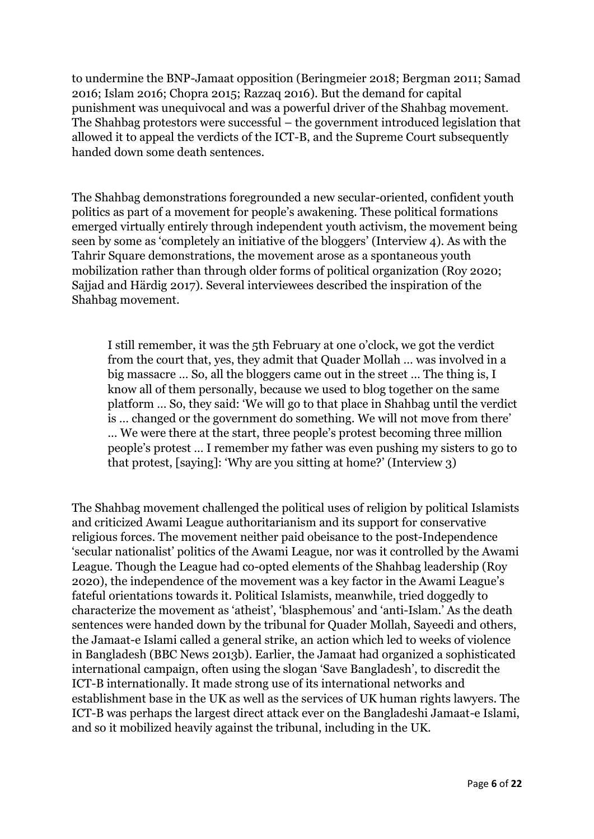to undermine the BNP-Jamaat opposition (Beringmeier 2018; Bergman 2011; Samad 2016; Islam 2016; Chopra 2015; Razzaq 2016). But the demand for capital punishment was unequivocal and was a powerful driver of the Shahbag movement. The Shahbag protestors were successful – the government introduced legislation that allowed it to appeal the verdicts of the ICT-B, and the Supreme Court subsequently handed down some death sentences.

The Shahbag demonstrations foregrounded a new secular-oriented, confident youth politics as part of a movement for people's awakening. These political formations emerged virtually entirely through independent youth activism, the movement being seen by some as 'completely an initiative of the bloggers' (Interview 4). As with the Tahrir Square demonstrations, the movement arose as a spontaneous youth mobilization rather than through older forms of political organization (Roy 2020; Sajjad and Härdig 2017). Several interviewees described the inspiration of the Shahbag movement.

I still remember, it was the 5th February at one o'clock, we got the verdict from the court that, yes, they admit that Quader Mollah … was involved in a big massacre … So, all the bloggers came out in the street … The thing is, I know all of them personally, because we used to blog together on the same platform … So, they said: 'We will go to that place in Shahbag until the verdict is … changed or the government do something. We will not move from there' … We were there at the start, three people's protest becoming three million people's protest … I remember my father was even pushing my sisters to go to that protest, [saying]: 'Why are you sitting at home?' (Interview 3)

The Shahbag movement challenged the political uses of religion by political Islamists and criticized Awami League authoritarianism and its support for conservative religious forces. The movement neither paid obeisance to the post-Independence 'secular nationalist' politics of the Awami League, nor was it controlled by the Awami League. Though the League had co-opted elements of the Shahbag leadership (Roy 2020), the independence of the movement was a key factor in the Awami League's fateful orientations towards it. Political Islamists, meanwhile, tried doggedly to characterize the movement as 'atheist', 'blasphemous' and 'anti-Islam.' As the death sentences were handed down by the tribunal for Quader Mollah, Sayeedi and others, the Jamaat-e Islami called a general strike, an action which led to weeks of violence in Bangladesh (BBC News 2013b). Earlier, the Jamaat had organized a sophisticated international campaign, often using the slogan 'Save Bangladesh', to discredit the ICT-B internationally. It made strong use of its international networks and establishment base in the UK as well as the services of UK human rights lawyers. The ICT-B was perhaps the largest direct attack ever on the Bangladeshi Jamaat-e Islami, and so it mobilized heavily against the tribunal, including in the UK.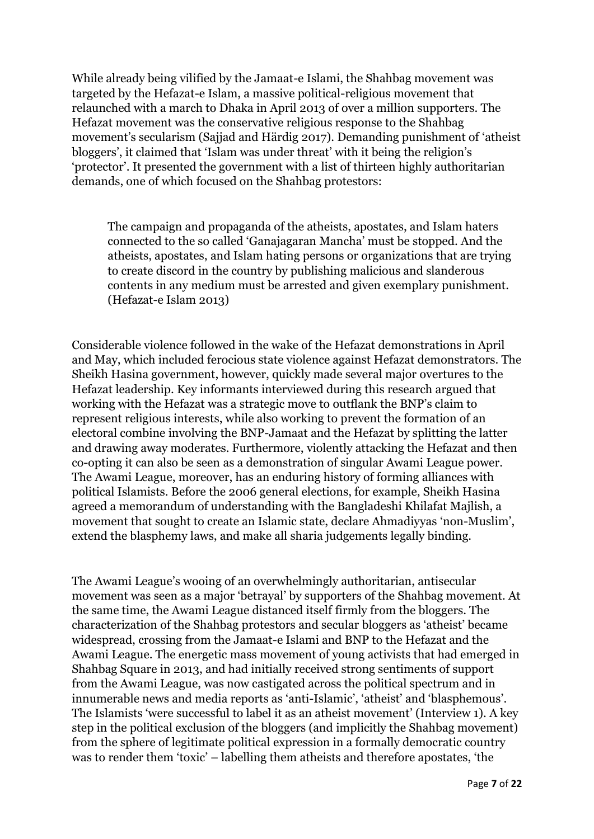While already being vilified by the Jamaat-e Islami, the Shahbag movement was targeted by the Hefazat-e Islam, a massive political-religious movement that relaunched with a march to Dhaka in April 2013 of over a million supporters. The Hefazat movement was the conservative religious response to the Shahbag movement's secularism (Sajjad and Härdig 2017). Demanding punishment of 'atheist bloggers', it claimed that 'Islam was under threat' with it being the religion's 'protector'. It presented the government with a list of thirteen highly authoritarian demands, one of which focused on the Shahbag protestors:

The campaign and propaganda of the atheists, apostates, and Islam haters connected to the so called 'Ganajagaran Mancha' must be stopped. And the atheists, apostates, and Islam hating persons or organizations that are trying to create discord in the country by publishing malicious and slanderous contents in any medium must be arrested and given exemplary punishment. (Hefazat-e Islam 2013)

Considerable violence followed in the wake of the Hefazat demonstrations in April and May, which included ferocious state violence against Hefazat demonstrators. The Sheikh Hasina government, however, quickly made several major overtures to the Hefazat leadership. Key informants interviewed during this research argued that working with the Hefazat was a strategic move to outflank the BNP's claim to represent religious interests, while also working to prevent the formation of an electoral combine involving the BNP-Jamaat and the Hefazat by splitting the latter and drawing away moderates. Furthermore, violently attacking the Hefazat and then co-opting it can also be seen as a demonstration of singular Awami League power. The Awami League, moreover, has an enduring history of forming alliances with political Islamists. Before the 2006 general elections, for example, Sheikh Hasina agreed a memorandum of understanding with the Bangladeshi Khilafat Majlish, a movement that sought to create an Islamic state, declare Ahmadiyyas 'non-Muslim', extend the blasphemy laws, and make all sharia judgements legally binding.

The Awami League's wooing of an overwhelmingly authoritarian, antisecular movement was seen as a major 'betrayal' by supporters of the Shahbag movement. At the same time, the Awami League distanced itself firmly from the bloggers. The characterization of the Shahbag protestors and secular bloggers as 'atheist' became widespread, crossing from the Jamaat-e Islami and BNP to the Hefazat and the Awami League. The energetic mass movement of young activists that had emerged in Shahbag Square in 2013, and had initially received strong sentiments of support from the Awami League, was now castigated across the political spectrum and in innumerable news and media reports as 'anti-Islamic', 'atheist' and 'blasphemous'. The Islamists 'were successful to label it as an atheist movement' (Interview 1). A key step in the political exclusion of the bloggers (and implicitly the Shahbag movement) from the sphere of legitimate political expression in a formally democratic country was to render them 'toxic' – labelling them atheists and therefore apostates, 'the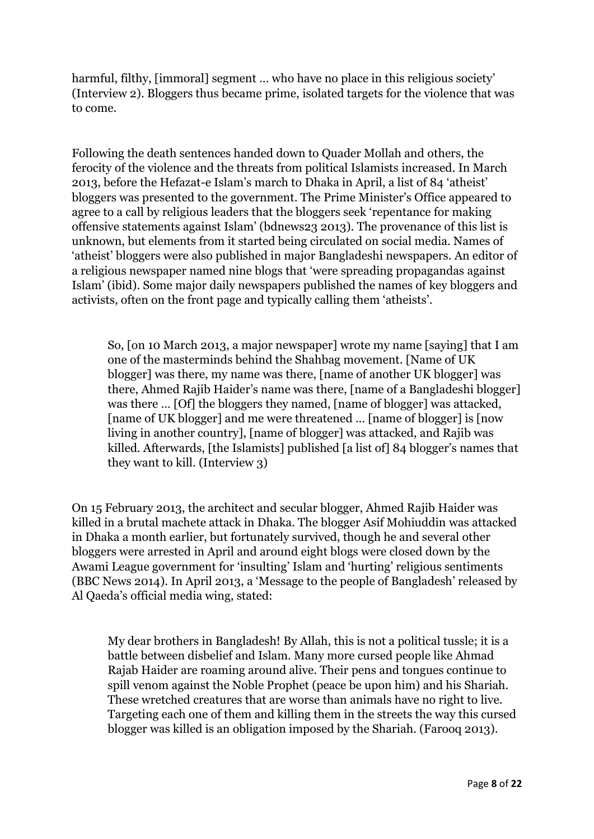harmful, filthy, [immoral] segment ... who have no place in this religious society' (Interview 2). Bloggers thus became prime, isolated targets for the violence that was to come.

Following the death sentences handed down to Quader Mollah and others, the ferocity of the violence and the threats from political Islamists increased. In March 2013, before the Hefazat-e Islam's march to Dhaka in April, a list of 84 'atheist' bloggers was presented to the government. The Prime Minister's Office appeared to agree to a call by religious leaders that the bloggers seek 'repentance for making offensive statements against Islam' (bdnews23 2013). The provenance of this list is unknown, but elements from it started being circulated on social media. Names of 'atheist' bloggers were also published in major Bangladeshi newspapers. An editor of a religious newspaper named nine blogs that 'were spreading propagandas against Islam' (ibid). Some major daily newspapers published the names of key bloggers and activists, often on the front page and typically calling them 'atheists'.

So, [on 10 March 2013, a major newspaper] wrote my name [saying] that I am one of the masterminds behind the Shahbag movement. [Name of UK blogger] was there, my name was there, [name of another UK blogger] was there, Ahmed Rajib Haider's name was there, [name of a Bangladeshi blogger] was there … [Of] the bloggers they named, [name of blogger] was attacked, [name of UK blogger] and me were threatened … [name of blogger] is [now living in another country], [name of blogger] was attacked, and Rajib was killed. Afterwards, [the Islamists] published [a list of] 84 blogger's names that they want to kill. (Interview 3)

On 15 February 2013, the architect and secular blogger, Ahmed Rajib Haider was killed in a brutal machete attack in Dhaka. The blogger Asif Mohiuddin was attacked in Dhaka a month earlier, but fortunately survived, though he and several other bloggers were arrested in April and around eight blogs were closed down by the Awami League government for 'insulting' Islam and 'hurting' religious sentiments (BBC News 2014). In April 2013, a 'Message to the people of Bangladesh' released by Al Qaeda's official media wing, stated:

My dear brothers in Bangladesh! By Allah, this is not a political tussle; it is a battle between disbelief and Islam. Many more cursed people like Ahmad Rajab Haider are roaming around alive. Their pens and tongues continue to spill venom against the Noble Prophet (peace be upon him) and his Shariah. These wretched creatures that are worse than animals have no right to live. Targeting each one of them and killing them in the streets the way this cursed blogger was killed is an obligation imposed by the Shariah. (Farooq 2013).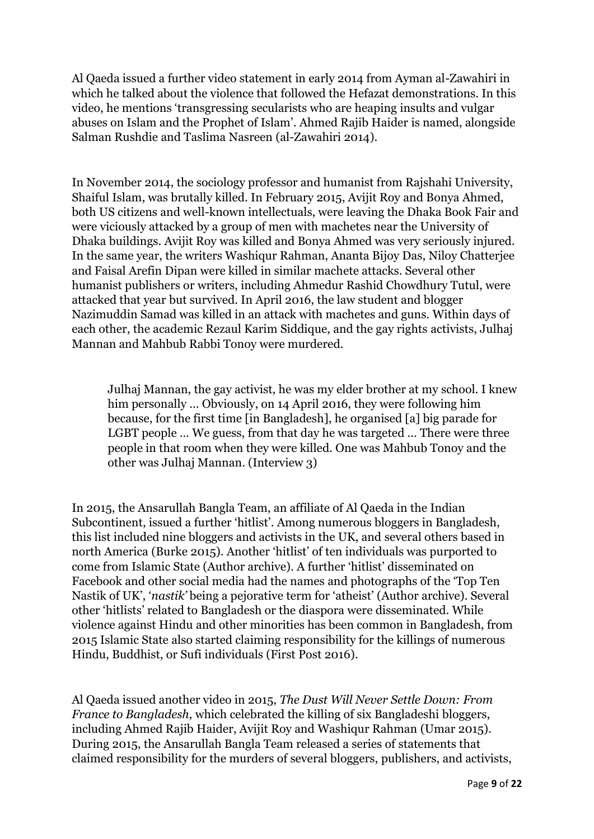Al Qaeda issued a further video statement in early 2014 from Ayman al-Zawahiri in which he talked about the violence that followed the Hefazat demonstrations. In this video, he mentions 'transgressing secularists who are heaping insults and vulgar abuses on Islam and the Prophet of Islam'. Ahmed Rajib Haider is named, alongside Salman Rushdie and Taslima Nasreen (al-Zawahiri 2014).

In November 2014, the sociology professor and humanist from Rajshahi University, Shaiful Islam, was brutally killed. In February 2015, Avijit Roy and Bonya Ahmed, both US citizens and well-known intellectuals, were leaving the Dhaka Book Fair and were viciously attacked by a group of men with machetes near the University of Dhaka buildings. Avijit Roy was killed and Bonya Ahmed was very seriously injured. In the same year, the writers Washiqur Rahman, Ananta Bijoy Das, Niloy Chatterjee and Faisal Arefin Dipan were killed in similar machete attacks. Several other humanist publishers or writers, including Ahmedur Rashid Chowdhury Tutul, were attacked that year but survived. In April 2016, the law student and blogger Nazimuddin Samad was killed in an attack with machetes and guns. Within days of each other, the academic Rezaul Karim Siddique, and the gay rights activists, Julhaj Mannan and Mahbub Rabbi Tonoy were murdered.

Julhaj Mannan, the gay activist, he was my elder brother at my school. I knew him personally … Obviously, on 14 April 2016, they were following him because, for the first time [in Bangladesh], he organised [a] big parade for LGBT people … We guess, from that day he was targeted … There were three people in that room when they were killed. One was Mahbub Tonoy and the other was Julhaj Mannan. (Interview 3)

In 2015, the Ansarullah Bangla Team, an affiliate of Al Qaeda in the Indian Subcontinent, issued a further 'hitlist'. Among numerous bloggers in Bangladesh, this list included nine bloggers and activists in the UK, and several others based in north America (Burke 2015). Another 'hitlist' of ten individuals was purported to come from Islamic State (Author archive). A further 'hitlist' disseminated on Facebook and other social media had the names and photographs of the 'Top Ten Nastik of UK', '*nastik'* being a pejorative term for 'atheist' (Author archive). Several other 'hitlists' related to Bangladesh or the diaspora were disseminated. While violence against Hindu and other minorities has been common in Bangladesh, from 2015 Islamic State also started claiming responsibility for the killings of numerous Hindu, Buddhist, or Sufi individuals (First Post 2016).

Al Qaeda issued another video in 2015, *The Dust Will Never Settle Down: From France to Bangladesh*, which celebrated the killing of six Bangladeshi bloggers, including Ahmed Rajib Haider, Avijit Roy and Washiqur Rahman (Umar 2015). During 2015, the Ansarullah Bangla Team released a series of statements that claimed responsibility for the murders of several bloggers, publishers, and activists,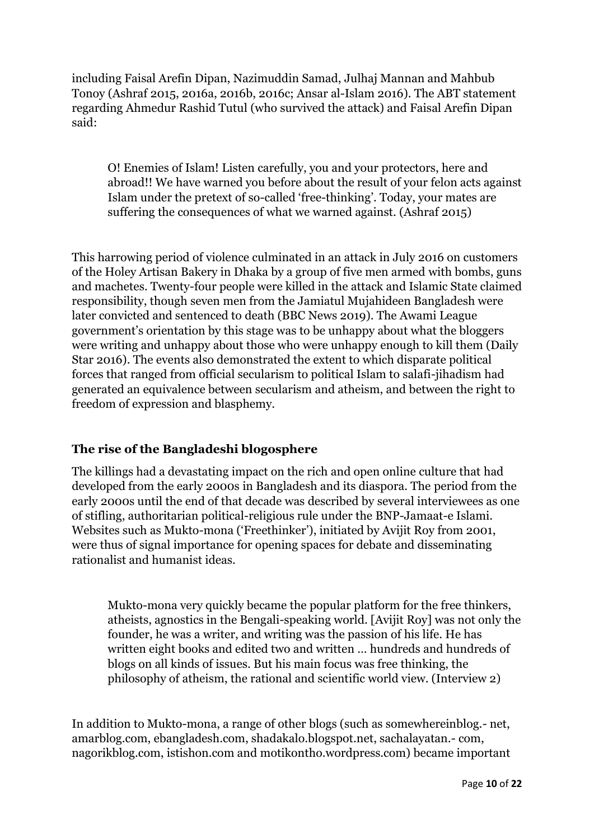including Faisal Arefin Dipan, Nazimuddin Samad, Julhaj Mannan and Mahbub Tonoy (Ashraf 2015, 2016a, 2016b, 2016c; Ansar al-Islam 2016). The ABT statement regarding Ahmedur Rashid Tutul (who survived the attack) and Faisal Arefin Dipan said:

O! Enemies of Islam! Listen carefully, you and your protectors, here and abroad!! We have warned you before about the result of your felon acts against Islam under the pretext of so-called 'free-thinking'. Today, your mates are suffering the consequences of what we warned against. (Ashraf 2015)

This harrowing period of violence culminated in an attack in July 2016 on customers of the Holey Artisan Bakery in Dhaka by a group of five men armed with bombs, guns and machetes. Twenty-four people were killed in the attack and Islamic State claimed responsibility, though seven men from the Jamiatul Mujahideen Bangladesh were later convicted and sentenced to death (BBC News 2019). The Awami League government's orientation by this stage was to be unhappy about what the bloggers were writing and unhappy about those who were unhappy enough to kill them (Daily Star 2016). The events also demonstrated the extent to which disparate political forces that ranged from official secularism to political Islam to salafi-jihadism had generated an equivalence between secularism and atheism, and between the right to freedom of expression and blasphemy.

# **The rise of the Bangladeshi blogosphere**

The killings had a devastating impact on the rich and open online culture that had developed from the early 2000s in Bangladesh and its diaspora. The period from the early 2000s until the end of that decade was described by several interviewees as one of stifling, authoritarian political-religious rule under the BNP-Jamaat-e Islami. Websites such as Mukto-mona ('Freethinker'), initiated by Avijit Roy from 2001, were thus of signal importance for opening spaces for debate and disseminating rationalist and humanist ideas.

Mukto-mona very quickly became the popular platform for the free thinkers, atheists, agnostics in the Bengali-speaking world. [Avijit Roy] was not only the founder, he was a writer, and writing was the passion of his life. He has written eight books and edited two and written … hundreds and hundreds of blogs on all kinds of issues. But his main focus was free thinking, the philosophy of atheism, the rational and scientific world view. (Interview 2)

In addition to Mukto-mona, a range of other blogs (such as somewhereinblog.- net, amarblog.com, ebangladesh.com, shadakalo.blogspot.net, sachalayatan.- com, nagorikblog.com, istishon.com and motikontho.wordpress.com) became important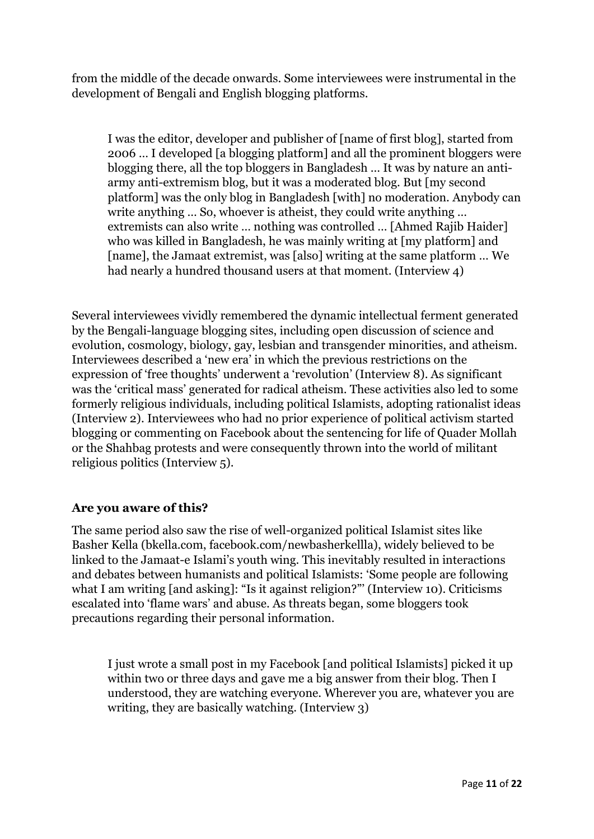from the middle of the decade onwards. Some interviewees were instrumental in the development of Bengali and English blogging platforms.

I was the editor, developer and publisher of [name of first blog], started from 2006 … I developed [a blogging platform] and all the prominent bloggers were blogging there, all the top bloggers in Bangladesh … It was by nature an antiarmy anti-extremism blog, but it was a moderated blog. But [my second platform] was the only blog in Bangladesh [with] no moderation. Anybody can write anything ... So, whoever is atheist, they could write anything ... extremists can also write … nothing was controlled … [Ahmed Rajib Haider] who was killed in Bangladesh, he was mainly writing at [my platform] and [name], the Jamaat extremist, was [also] writing at the same platform … We had nearly a hundred thousand users at that moment. (Interview 4)

Several interviewees vividly remembered the dynamic intellectual ferment generated by the Bengali-language blogging sites, including open discussion of science and evolution, cosmology, biology, gay, lesbian and transgender minorities, and atheism. Interviewees described a 'new era' in which the previous restrictions on the expression of 'free thoughts' underwent a 'revolution' (Interview 8). As significant was the 'critical mass' generated for radical atheism. These activities also led to some formerly religious individuals, including political Islamists, adopting rationalist ideas (Interview 2). Interviewees who had no prior experience of political activism started blogging or commenting on Facebook about the sentencing for life of Quader Mollah or the Shahbag protests and were consequently thrown into the world of militant religious politics (Interview 5).

# **Are you aware of this?**

The same period also saw the rise of well-organized political Islamist sites like Basher Kella (bkella.com, facebook.com/newbasherkellla), widely believed to be linked to the Jamaat-e Islami's youth wing. This inevitably resulted in interactions and debates between humanists and political Islamists: 'Some people are following what I am writing [and asking]: "Is it against religion?"' (Interview 10). Criticisms escalated into 'flame wars' and abuse. As threats began, some bloggers took precautions regarding their personal information.

I just wrote a small post in my Facebook [and political Islamists] picked it up within two or three days and gave me a big answer from their blog. Then I understood, they are watching everyone. Wherever you are, whatever you are writing, they are basically watching. (Interview 3)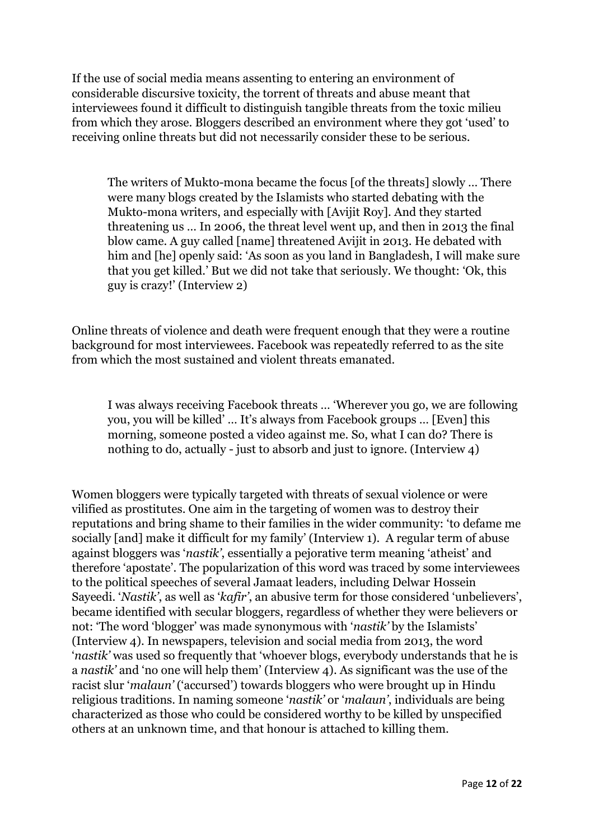If the use of social media means assenting to entering an environment of considerable discursive toxicity, the torrent of threats and abuse meant that interviewees found it difficult to distinguish tangible threats from the toxic milieu from which they arose. Bloggers described an environment where they got 'used' to receiving online threats but did not necessarily consider these to be serious.

The writers of Mukto-mona became the focus [of the threats] slowly … There were many blogs created by the Islamists who started debating with the Mukto-mona writers, and especially with [Avijit Roy]. And they started threatening us … In 2006, the threat level went up, and then in 2013 the final blow came. A guy called [name] threatened Avijit in 2013. He debated with him and [he] openly said: 'As soon as you land in Bangladesh, I will make sure that you get killed.' But we did not take that seriously. We thought: 'Ok, this guy is crazy!' (Interview 2)

Online threats of violence and death were frequent enough that they were a routine background for most interviewees. Facebook was repeatedly referred to as the site from which the most sustained and violent threats emanated.

I was always receiving Facebook threats … 'Wherever you go, we are following you, you will be killed' … It's always from Facebook groups … [Even] this morning, someone posted a video against me. So, what I can do? There is nothing to do, actually - just to absorb and just to ignore. (Interview 4)

Women bloggers were typically targeted with threats of sexual violence or were vilified as prostitutes. One aim in the targeting of women was to destroy their reputations and bring shame to their families in the wider community: 'to defame me socially [and] make it difficult for my family' (Interview 1). A regular term of abuse against bloggers was '*nastik'*, essentially a pejorative term meaning 'atheist' and therefore 'apostate'. The popularization of this word was traced by some interviewees to the political speeches of several Jamaat leaders, including Delwar Hossein Sayeedi. '*Nastik'*, as well as '*kafir'*, an abusive term for those considered 'unbelievers', became identified with secular bloggers, regardless of whether they were believers or not: 'The word 'blogger' was made synonymous with '*nastik'* by the Islamists' (Interview 4). In newspapers, television and social media from 2013, the word '*nastik'* was used so frequently that 'whoever blogs, everybody understands that he is a *nastik'* and 'no one will help them' (Interview 4). As significant was the use of the racist slur '*malaun'* ('accursed') towards bloggers who were brought up in Hindu religious traditions. In naming someone '*nastik'* or '*malaun'*, individuals are being characterized as those who could be considered worthy to be killed by unspecified others at an unknown time, and that honour is attached to killing them.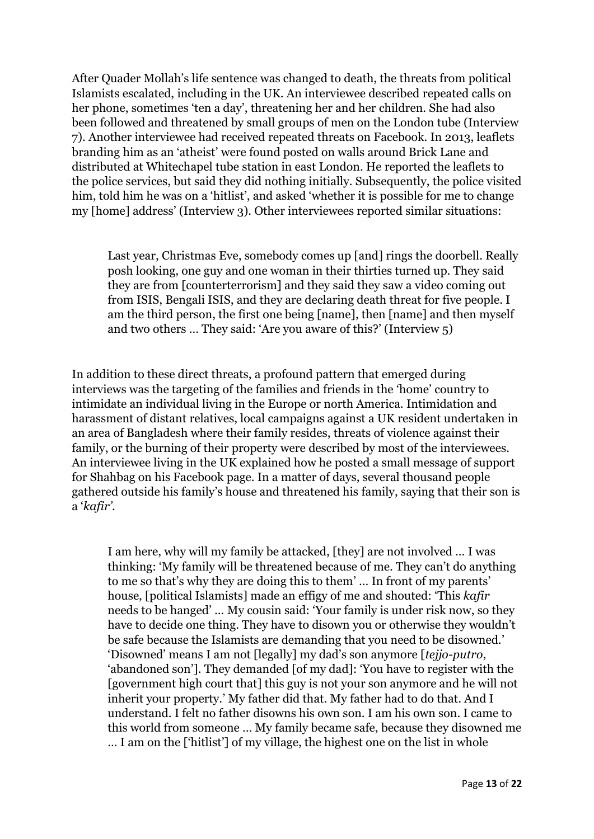After Quader Mollah's life sentence was changed to death, the threats from political Islamists escalated, including in the UK. An interviewee described repeated calls on her phone, sometimes 'ten a day', threatening her and her children. She had also been followed and threatened by small groups of men on the London tube (Interview 7). Another interviewee had received repeated threats on Facebook. In 2013, leaflets branding him as an 'atheist' were found posted on walls around Brick Lane and distributed at Whitechapel tube station in east London. He reported the leaflets to the police services, but said they did nothing initially. Subsequently, the police visited him, told him he was on a 'hitlist', and asked 'whether it is possible for me to change my [home] address' (Interview 3). Other interviewees reported similar situations:

Last year, Christmas Eve, somebody comes up [and] rings the doorbell. Really posh looking, one guy and one woman in their thirties turned up. They said they are from [counterterrorism] and they said they saw a video coming out from ISIS, Bengali ISIS, and they are declaring death threat for five people. I am the third person, the first one being [name], then [name] and then myself and two others … They said: 'Are you aware of this?' (Interview 5)

In addition to these direct threats, a profound pattern that emerged during interviews was the targeting of the families and friends in the 'home' country to intimidate an individual living in the Europe or north America. Intimidation and harassment of distant relatives, local campaigns against a UK resident undertaken in an area of Bangladesh where their family resides, threats of violence against their family, or the burning of their property were described by most of the interviewees. An interviewee living in the UK explained how he posted a small message of support for Shahbag on his Facebook page. In a matter of days, several thousand people gathered outside his family's house and threatened his family, saying that their son is a '*kafir'*.

I am here, why will my family be attacked, [they] are not involved … I was thinking: 'My family will be threatened because of me. They can't do anything to me so that's why they are doing this to them' … In front of my parents' house, [political Islamists] made an effigy of me and shouted: 'This *kafir* needs to be hanged' … My cousin said: 'Your family is under risk now, so they have to decide one thing. They have to disown you or otherwise they wouldn't be safe because the Islamists are demanding that you need to be disowned.' 'Disowned' means I am not [legally] my dad's son anymore [*tejjo-putro*, 'abandoned son']. They demanded [of my dad]: 'You have to register with the [government high court that] this guy is not your son anymore and he will not inherit your property.' My father did that. My father had to do that. And I understand. I felt no father disowns his own son. I am his own son. I came to this world from someone … My family became safe, because they disowned me … I am on the ['hitlist'] of my village, the highest one on the list in whole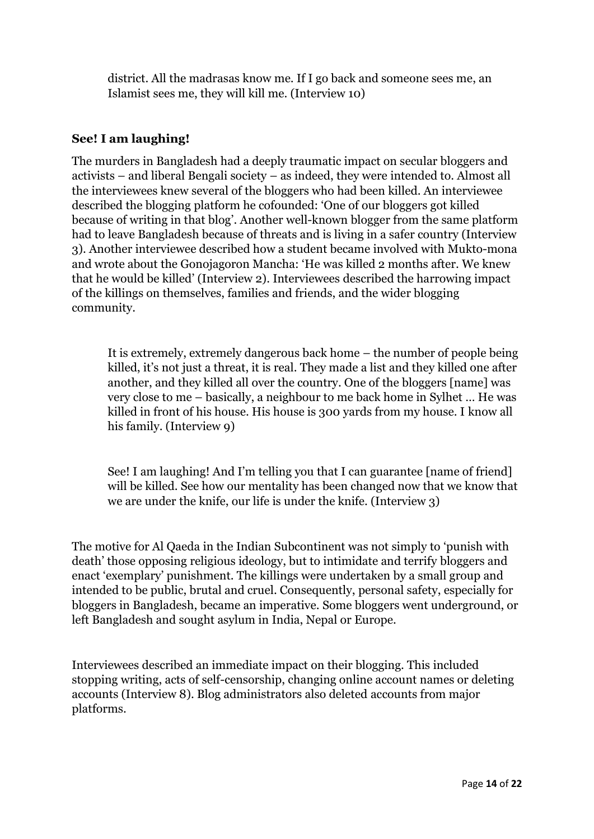district. All the madrasas know me. If I go back and someone sees me, an Islamist sees me, they will kill me. (Interview 10)

# **See! I am laughing!**

The murders in Bangladesh had a deeply traumatic impact on secular bloggers and activists – and liberal Bengali society – as indeed, they were intended to. Almost all the interviewees knew several of the bloggers who had been killed. An interviewee described the blogging platform he cofounded: 'One of our bloggers got killed because of writing in that blog'. Another well-known blogger from the same platform had to leave Bangladesh because of threats and is living in a safer country (Interview 3). Another interviewee described how a student became involved with Mukto-mona and wrote about the Gonojagoron Mancha: 'He was killed 2 months after. We knew that he would be killed' (Interview 2). Interviewees described the harrowing impact of the killings on themselves, families and friends, and the wider blogging community.

It is extremely, extremely dangerous back home – the number of people being killed, it's not just a threat, it is real. They made a list and they killed one after another, and they killed all over the country. One of the bloggers [name] was very close to me – basically, a neighbour to me back home in Sylhet … He was killed in front of his house. His house is 300 yards from my house. I know all his family. (Interview 9)

See! I am laughing! And I'm telling you that I can guarantee [name of friend] will be killed. See how our mentality has been changed now that we know that we are under the knife, our life is under the knife. (Interview 3)

The motive for Al Qaeda in the Indian Subcontinent was not simply to 'punish with death' those opposing religious ideology, but to intimidate and terrify bloggers and enact 'exemplary' punishment. The killings were undertaken by a small group and intended to be public, brutal and cruel. Consequently, personal safety, especially for bloggers in Bangladesh, became an imperative. Some bloggers went underground, or left Bangladesh and sought asylum in India, Nepal or Europe.

Interviewees described an immediate impact on their blogging. This included stopping writing, acts of self-censorship, changing online account names or deleting accounts (Interview 8). Blog administrators also deleted accounts from major platforms.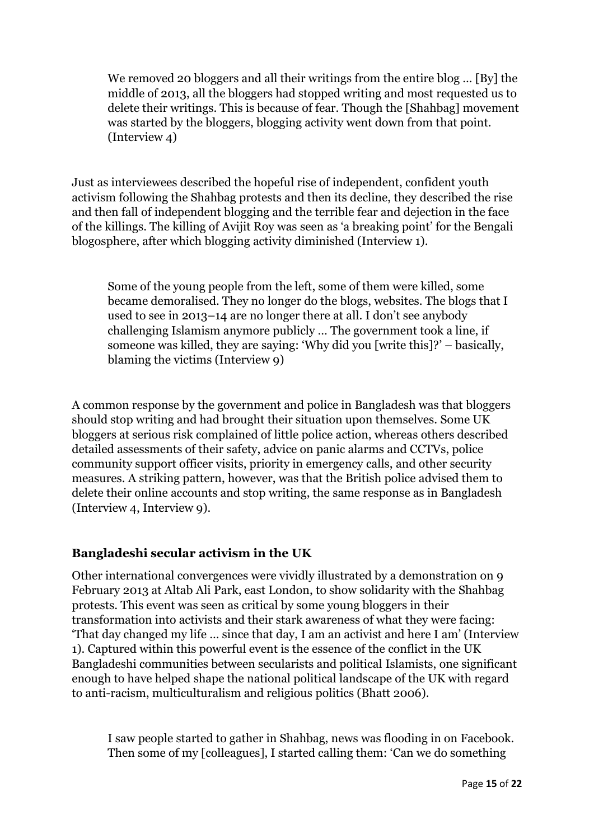We removed 20 bloggers and all their writings from the entire blog ... [By] the middle of 2013, all the bloggers had stopped writing and most requested us to delete their writings. This is because of fear. Though the [Shahbag] movement was started by the bloggers, blogging activity went down from that point. (Interview 4)

Just as interviewees described the hopeful rise of independent, confident youth activism following the Shahbag protests and then its decline, they described the rise and then fall of independent blogging and the terrible fear and dejection in the face of the killings. The killing of Avijit Roy was seen as 'a breaking point' for the Bengali blogosphere, after which blogging activity diminished (Interview 1).

Some of the young people from the left, some of them were killed, some became demoralised. They no longer do the blogs, websites. The blogs that I used to see in 2013–14 are no longer there at all. I don't see anybody challenging Islamism anymore publicly … The government took a line, if someone was killed, they are saying: 'Why did you [write this]?' – basically, blaming the victims (Interview 9)

A common response by the government and police in Bangladesh was that bloggers should stop writing and had brought their situation upon themselves. Some UK bloggers at serious risk complained of little police action, whereas others described detailed assessments of their safety, advice on panic alarms and CCTVs, police community support officer visits, priority in emergency calls, and other security measures. A striking pattern, however, was that the British police advised them to delete their online accounts and stop writing, the same response as in Bangladesh (Interview 4, Interview 9).

#### **Bangladeshi secular activism in the UK**

Other international convergences were vividly illustrated by a demonstration on 9 February 2013 at Altab Ali Park, east London, to show solidarity with the Shahbag protests. This event was seen as critical by some young bloggers in their transformation into activists and their stark awareness of what they were facing: 'That day changed my life … since that day, I am an activist and here I am' (Interview 1). Captured within this powerful event is the essence of the conflict in the UK Bangladeshi communities between secularists and political Islamists, one significant enough to have helped shape the national political landscape of the UK with regard to anti-racism, multiculturalism and religious politics (Bhatt 2006).

I saw people started to gather in Shahbag, news was flooding in on Facebook. Then some of my [colleagues], I started calling them: 'Can we do something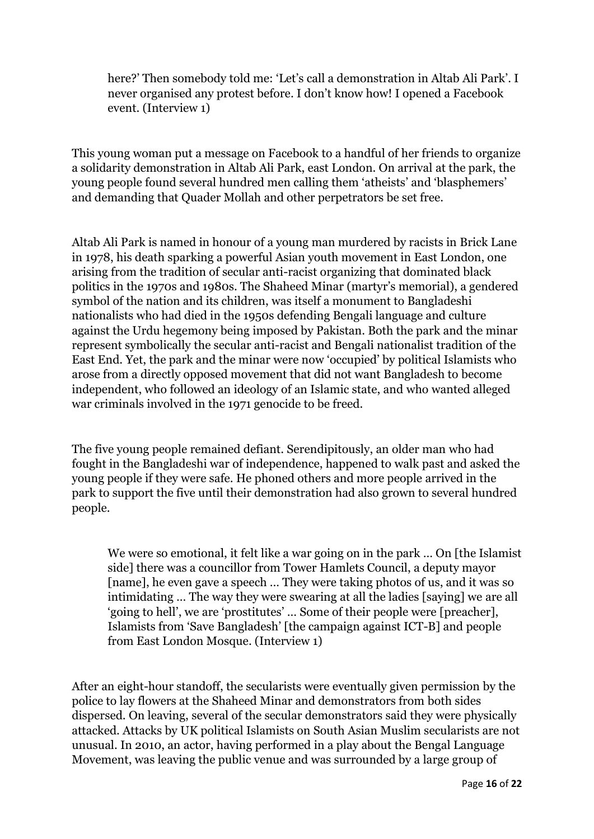here?' Then somebody told me: 'Let's call a demonstration in Altab Ali Park'. I never organised any protest before. I don't know how! I opened a Facebook event. (Interview 1)

This young woman put a message on Facebook to a handful of her friends to organize a solidarity demonstration in Altab Ali Park, east London. On arrival at the park, the young people found several hundred men calling them 'atheists' and 'blasphemers' and demanding that Quader Mollah and other perpetrators be set free.

Altab Ali Park is named in honour of a young man murdered by racists in Brick Lane in 1978, his death sparking a powerful Asian youth movement in East London, one arising from the tradition of secular anti-racist organizing that dominated black politics in the 1970s and 1980s. The Shaheed Minar (martyr's memorial), a gendered symbol of the nation and its children, was itself a monument to Bangladeshi nationalists who had died in the 1950s defending Bengali language and culture against the Urdu hegemony being imposed by Pakistan. Both the park and the minar represent symbolically the secular anti-racist and Bengali nationalist tradition of the East End. Yet, the park and the minar were now 'occupied' by political Islamists who arose from a directly opposed movement that did not want Bangladesh to become independent, who followed an ideology of an Islamic state, and who wanted alleged war criminals involved in the 1971 genocide to be freed.

The five young people remained defiant. Serendipitously, an older man who had fought in the Bangladeshi war of independence, happened to walk past and asked the young people if they were safe. He phoned others and more people arrived in the park to support the five until their demonstration had also grown to several hundred people.

We were so emotional, it felt like a war going on in the park ... On [the Islamist] side] there was a councillor from Tower Hamlets Council, a deputy mayor [name], he even gave a speech … They were taking photos of us, and it was so intimidating … The way they were swearing at all the ladies [saying] we are all 'going to hell', we are 'prostitutes' … Some of their people were [preacher], Islamists from 'Save Bangladesh' [the campaign against ICT-B] and people from East London Mosque. (Interview 1)

After an eight-hour standoff, the secularists were eventually given permission by the police to lay flowers at the Shaheed Minar and demonstrators from both sides dispersed. On leaving, several of the secular demonstrators said they were physically attacked. Attacks by UK political Islamists on South Asian Muslim secularists are not unusual. In 2010, an actor, having performed in a play about the Bengal Language Movement, was leaving the public venue and was surrounded by a large group of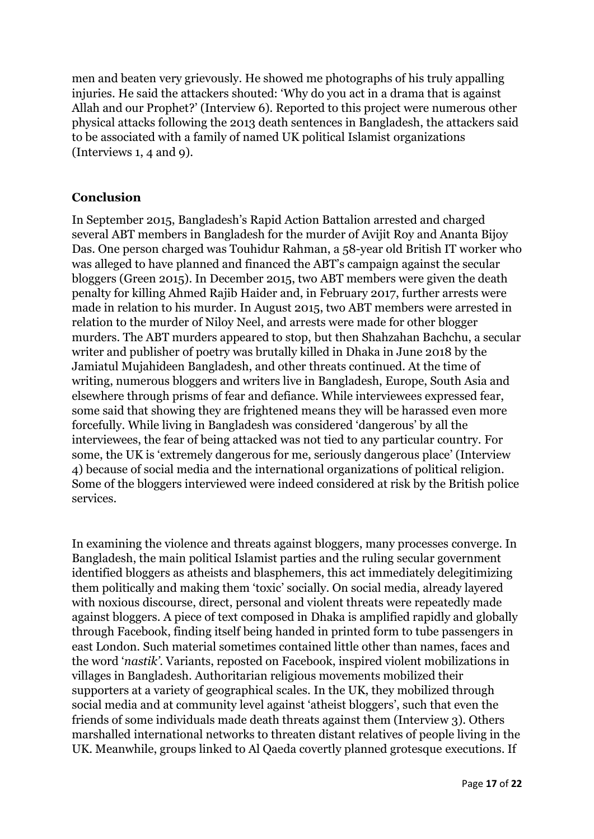men and beaten very grievously. He showed me photographs of his truly appalling injuries. He said the attackers shouted: 'Why do you act in a drama that is against Allah and our Prophet?' (Interview 6). Reported to this project were numerous other physical attacks following the 2013 death sentences in Bangladesh, the attackers said to be associated with a family of named UK political Islamist organizations (Interviews 1, 4 and 9).

#### **Conclusion**

In September 2015, Bangladesh's Rapid Action Battalion arrested and charged several ABT members in Bangladesh for the murder of Avijit Roy and Ananta Bijoy Das. One person charged was Touhidur Rahman, a 58-year old British IT worker who was alleged to have planned and financed the ABT's campaign against the secular bloggers (Green 2015). In December 2015, two ABT members were given the death penalty for killing Ahmed Rajib Haider and, in February 2017, further arrests were made in relation to his murder. In August 2015, two ABT members were arrested in relation to the murder of Niloy Neel, and arrests were made for other blogger murders. The ABT murders appeared to stop, but then Shahzahan Bachchu, a secular writer and publisher of poetry was brutally killed in Dhaka in June 2018 by the Jamiatul Mujahideen Bangladesh, and other threats continued. At the time of writing, numerous bloggers and writers live in Bangladesh, Europe, South Asia and elsewhere through prisms of fear and defiance. While interviewees expressed fear, some said that showing they are frightened means they will be harassed even more forcefully. While living in Bangladesh was considered 'dangerous' by all the interviewees, the fear of being attacked was not tied to any particular country. For some, the UK is 'extremely dangerous for me, seriously dangerous place' (Interview 4) because of social media and the international organizations of political religion. Some of the bloggers interviewed were indeed considered at risk by the British police services.

In examining the violence and threats against bloggers, many processes converge. In Bangladesh, the main political Islamist parties and the ruling secular government identified bloggers as atheists and blasphemers, this act immediately delegitimizing them politically and making them 'toxic' socially. On social media, already layered with noxious discourse, direct, personal and violent threats were repeatedly made against bloggers. A piece of text composed in Dhaka is amplified rapidly and globally through Facebook, finding itself being handed in printed form to tube passengers in east London. Such material sometimes contained little other than names, faces and the word '*nastik'*. Variants, reposted on Facebook, inspired violent mobilizations in villages in Bangladesh. Authoritarian religious movements mobilized their supporters at a variety of geographical scales. In the UK, they mobilized through social media and at community level against 'atheist bloggers', such that even the friends of some individuals made death threats against them (Interview 3). Others marshalled international networks to threaten distant relatives of people living in the UK. Meanwhile, groups linked to Al Qaeda covertly planned grotesque executions. If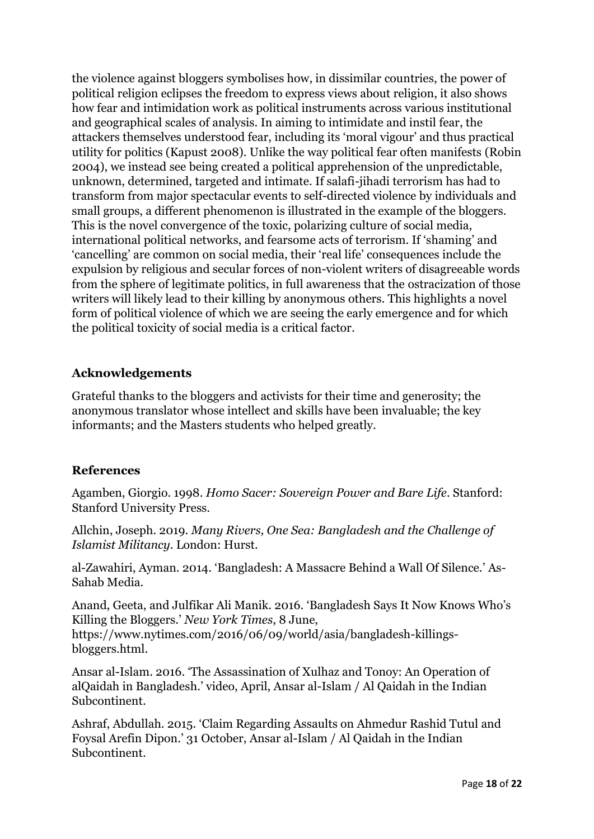the violence against bloggers symbolises how, in dissimilar countries, the power of political religion eclipses the freedom to express views about religion, it also shows how fear and intimidation work as political instruments across various institutional and geographical scales of analysis. In aiming to intimidate and instil fear, the attackers themselves understood fear, including its 'moral vigour' and thus practical utility for politics (Kapust 2008). Unlike the way political fear often manifests (Robin 2004), we instead see being created a political apprehension of the unpredictable, unknown, determined, targeted and intimate. If salafi-jihadi terrorism has had to transform from major spectacular events to self-directed violence by individuals and small groups, a different phenomenon is illustrated in the example of the bloggers. This is the novel convergence of the toxic, polarizing culture of social media, international political networks, and fearsome acts of terrorism. If 'shaming' and 'cancelling' are common on social media, their 'real life' consequences include the expulsion by religious and secular forces of non-violent writers of disagreeable words from the sphere of legitimate politics, in full awareness that the ostracization of those writers will likely lead to their killing by anonymous others. This highlights a novel form of political violence of which we are seeing the early emergence and for which the political toxicity of social media is a critical factor.

#### **Acknowledgements**

Grateful thanks to the bloggers and activists for their time and generosity; the anonymous translator whose intellect and skills have been invaluable; the key informants; and the Masters students who helped greatly.

#### **References**

Agamben, Giorgio. 1998. *Homo Sacer: Sovereign Power and Bare Life*. Stanford: Stanford University Press.

Allchin, Joseph. 2019. *Many Rivers, One Sea: Bangladesh and the Challenge of Islamist Militancy*. London: Hurst.

al-Zawahiri, Ayman. 2014. 'Bangladesh: A Massacre Behind a Wall Of Silence.' As-Sahab Media.

Anand, Geeta, and Julfikar Ali Manik. 2016. 'Bangladesh Says It Now Knows Who's Killing the Bloggers.' *New York Times*, 8 June,

https://www.nytimes.com/2016/06/09/world/asia/bangladesh-killingsbloggers.html.

Ansar al-Islam. 2016. 'The Assassination of Xulhaz and Tonoy: An Operation of alQaidah in Bangladesh.' video, April, Ansar al-Islam / Al Qaidah in the Indian Subcontinent.

Ashraf, Abdullah. 2015. 'Claim Regarding Assaults on Ahmedur Rashid Tutul and Foysal Arefin Dipon.' 31 October, Ansar al-Islam / Al Qaidah in the Indian Subcontinent.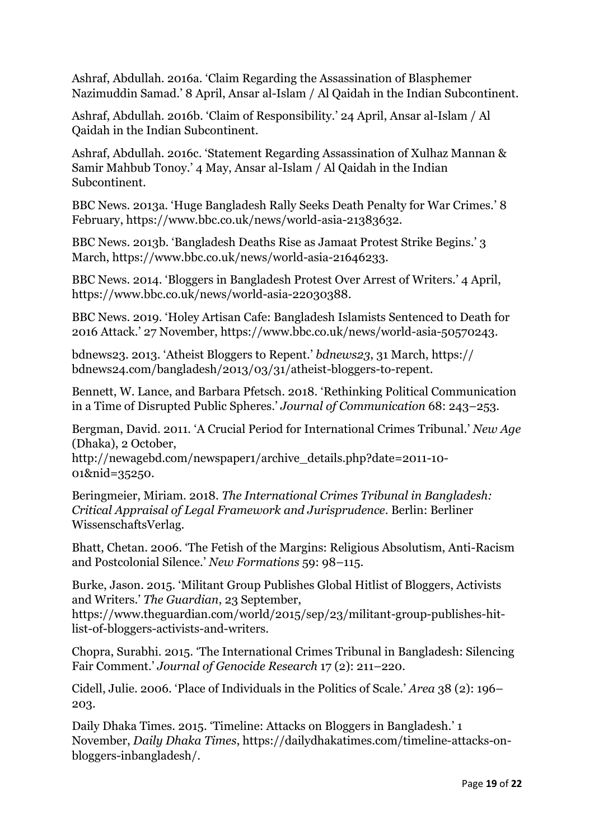Ashraf, Abdullah. 2016a. 'Claim Regarding the Assassination of Blasphemer Nazimuddin Samad.' 8 April, Ansar al-Islam / Al Qaidah in the Indian Subcontinent.

Ashraf, Abdullah. 2016b. 'Claim of Responsibility.' 24 April, Ansar al-Islam / Al Qaidah in the Indian Subcontinent.

Ashraf, Abdullah. 2016c. 'Statement Regarding Assassination of Xulhaz Mannan & Samir Mahbub Tonoy.' 4 May, Ansar al-Islam / Al Qaidah in the Indian Subcontinent.

BBC News. 2013a. 'Huge Bangladesh Rally Seeks Death Penalty for War Crimes.' 8 February, https://www.bbc.co.uk/news/world-asia-21383632.

BBC News. 2013b. 'Bangladesh Deaths Rise as Jamaat Protest Strike Begins.' 3 March, https://www.bbc.co.uk/news/world-asia-21646233.

BBC News. 2014. 'Bloggers in Bangladesh Protest Over Arrest of Writers.' 4 April, https://www.bbc.co.uk/news/world-asia-22030388.

BBC News. 2019. 'Holey Artisan Cafe: Bangladesh Islamists Sentenced to Death for 2016 Attack.' 27 November, https://www.bbc.co.uk/news/world-asia-50570243.

bdnews23. 2013. 'Atheist Bloggers to Repent.' *bdnews23*, 31 March, https:// bdnews24.com/bangladesh/2013/03/31/atheist-bloggers-to-repent.

Bennett, W. Lance, and Barbara Pfetsch. 2018. 'Rethinking Political Communication in a Time of Disrupted Public Spheres.' *Journal of Communication* 68: 243–253.

Bergman, David. 2011. 'A Crucial Period for International Crimes Tribunal.' *New Age* (Dhaka), 2 October,

http://newagebd.com/newspaper1/archive\_details.php?date=2011-10- 01&nid=35250.

Beringmeier, Miriam. 2018. *The International Crimes Tribunal in Bangladesh: Critical Appraisal of Legal Framework and Jurisprudence*. Berlin: Berliner WissenschaftsVerlag.

Bhatt, Chetan. 2006. 'The Fetish of the Margins: Religious Absolutism, Anti-Racism and Postcolonial Silence.' *New Formations* 59: 98–115.

Burke, Jason. 2015. 'Militant Group Publishes Global Hitlist of Bloggers, Activists and Writers.' *The Guardian*, 23 September,

https://www.theguardian.com/world/2015/sep/23/militant-group-publishes-hitlist-of-bloggers-activists-and-writers.

Chopra, Surabhi. 2015. 'The International Crimes Tribunal in Bangladesh: Silencing Fair Comment.' *Journal of Genocide Research* 17 (2): 211–220.

Cidell, Julie. 2006. 'Place of Individuals in the Politics of Scale.' *Area* 38 (2): 196– 203.

Daily Dhaka Times. 2015. 'Timeline: Attacks on Bloggers in Bangladesh.' 1 November, *Daily Dhaka Times*, https://dailydhakatimes.com/timeline-attacks-onbloggers-inbangladesh/.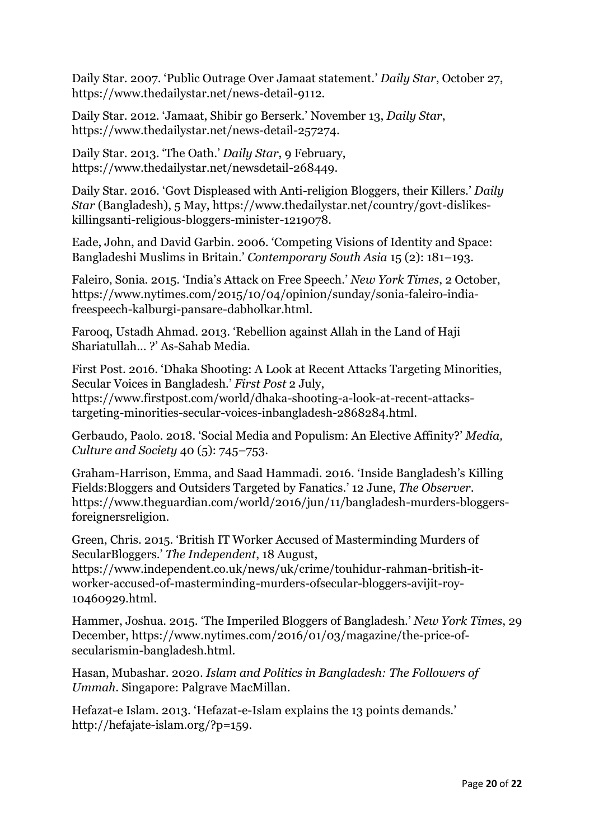Daily Star. 2007. 'Public Outrage Over Jamaat statement.' *Daily Star*, October 27, https://www.thedailystar.net/news-detail-9112.

Daily Star. 2012. 'Jamaat, Shibir go Berserk.' November 13, *Daily Star*, https://www.thedailystar.net/news-detail-257274.

Daily Star. 2013. 'The Oath.' *Daily Star*, 9 February, https://www.thedailystar.net/newsdetail-268449.

Daily Star. 2016. 'Govt Displeased with Anti-religion Bloggers, their Killers.' *Daily Star* (Bangladesh), 5 May, https://www.thedailystar.net/country/govt-dislikeskillingsanti-religious-bloggers-minister-1219078.

Eade, John, and David Garbin. 2006. 'Competing Visions of Identity and Space: Bangladeshi Muslims in Britain.' *Contemporary South Asia* 15 (2): 181–193.

Faleiro, Sonia. 2015. 'India's Attack on Free Speech.' *New York Times*, 2 October, https://www.nytimes.com/2015/10/04/opinion/sunday/sonia-faleiro-indiafreespeech-kalburgi-pansare-dabholkar.html.

Farooq, Ustadh Ahmad. 2013. 'Rebellion against Allah in the Land of Haji Shariatullah… ?' As-Sahab Media.

First Post. 2016. 'Dhaka Shooting: A Look at Recent Attacks Targeting Minorities, Secular Voices in Bangladesh.' *First Post* 2 July, https://www.firstpost.com/world/dhaka-shooting-a-look-at-recent-attackstargeting-minorities-secular-voices-inbangladesh-2868284.html.

Gerbaudo, Paolo. 2018. 'Social Media and Populism: An Elective Affinity?' *Media, Culture and Society* 40 (5): 745–753.

Graham-Harrison, Emma, and Saad Hammadi. 2016. 'Inside Bangladesh's Killing Fields:Bloggers and Outsiders Targeted by Fanatics.' 12 June, *The Observer*. https://www.theguardian.com/world/2016/jun/11/bangladesh-murders-bloggersforeignersreligion.

Green, Chris. 2015. 'British IT Worker Accused of Masterminding Murders of SecularBloggers.' *The Independent*, 18 August,

https://www.independent.co.uk/news/uk/crime/touhidur-rahman-british-itworker-accused-of-masterminding-murders-ofsecular-bloggers-avijit-roy-10460929.html.

Hammer, Joshua. 2015. 'The Imperiled Bloggers of Bangladesh.' *New York Times*, 29 December, https://www.nytimes.com/2016/01/03/magazine/the-price-ofsecularismin-bangladesh.html.

Hasan, Mubashar. 2020. *Islam and Politics in Bangladesh: The Followers of Ummah*. Singapore: Palgrave MacMillan.

Hefazat-e Islam. 2013. 'Hefazat-e-Islam explains the 13 points demands.' http://hefajate-islam.org/?p=159.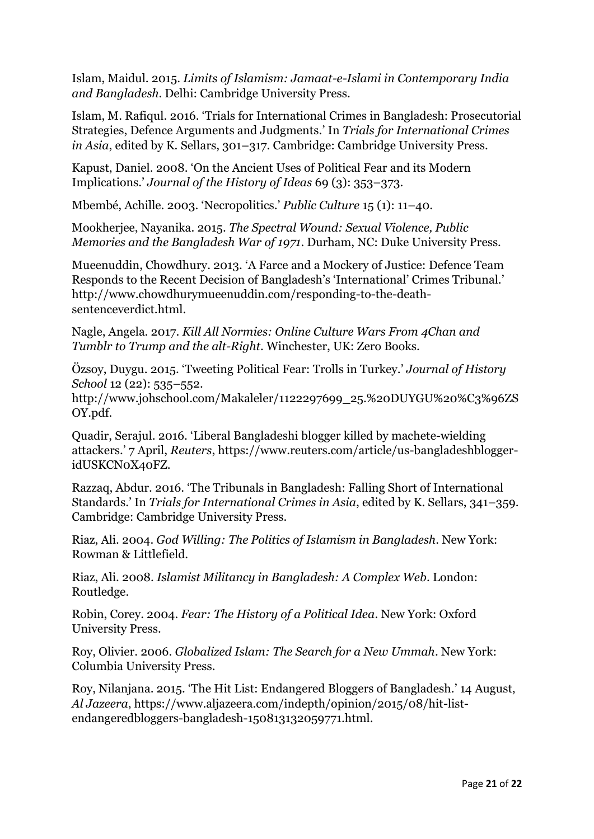Islam, Maidul. 2015. *Limits of Islamism: Jamaat-e-Islami in Contemporary India and Bangladesh*. Delhi: Cambridge University Press.

Islam, M. Rafiqul. 2016. 'Trials for International Crimes in Bangladesh: Prosecutorial Strategies, Defence Arguments and Judgments.' In *Trials for International Crimes in Asia*, edited by K. Sellars, 301–317. Cambridge: Cambridge University Press.

Kapust, Daniel. 2008. 'On the Ancient Uses of Political Fear and its Modern Implications.' *Journal of the History of Ideas* 69 (3): 353–373.

Mbembé, Achille. 2003. 'Necropolitics.' *Public Culture* 15 (1): 11–40.

Mookherjee, Nayanika. 2015. *The Spectral Wound: Sexual Violence, Public Memories and the Bangladesh War of 1971*. Durham, NC: Duke University Press.

Mueenuddin, Chowdhury. 2013. 'A Farce and a Mockery of Justice: Defence Team Responds to the Recent Decision of Bangladesh's 'International' Crimes Tribunal.' http://www.chowdhurymueenuddin.com/responding-to-the-deathsentenceverdict.html.

Nagle, Angela. 2017. *Kill All Normies: Online Culture Wars From 4Chan and Tumblr to Trump and the alt-Right*. Winchester, UK: Zero Books.

Özsoy, Duygu. 2015. 'Tweeting Political Fear: Trolls in Turkey.' *Journal of History School* 12 (22): 535–552.

http://www.johschool.com/Makaleler/1122297699\_25.%20DUYGU%20%C3%96ZS OY.pdf.

Quadir, Serajul. 2016. 'Liberal Bangladeshi blogger killed by machete-wielding attackers.' 7 April, *Reuters*, https://www.reuters.com/article/us-bangladeshbloggeridUSKCN0X40FZ.

Razzaq, Abdur. 2016. 'The Tribunals in Bangladesh: Falling Short of International Standards.' In *Trials for International Crimes in Asia*, edited by K. Sellars, 341–359. Cambridge: Cambridge University Press.

Riaz, Ali. 2004. *God Willing: The Politics of Islamism in Bangladesh*. New York: Rowman & Littlefield.

Riaz, Ali. 2008. *Islamist Militancy in Bangladesh: A Complex Web*. London: Routledge.

Robin, Corey. 2004. *Fear: The History of a Political Idea*. New York: Oxford University Press.

Roy, Olivier. 2006. *Globalized Islam: The Search for a New Ummah*. New York: Columbia University Press.

Roy, Nilanjana. 2015. 'The Hit List: Endangered Bloggers of Bangladesh.' 14 August, *Al Jazeera*, https://www.aljazeera.com/indepth/opinion/2015/08/hit-listendangeredbloggers-bangladesh-150813132059771.html.